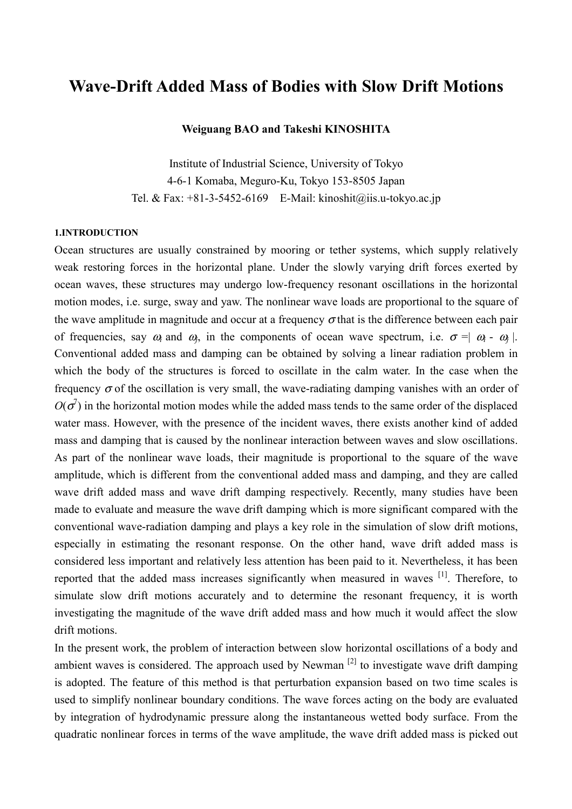# **Wave-Drift Added Mass of Bodies with Slow Drift Motions**

### **Weiguang BAO and Takeshi KINOSHITA**

Institute of Industrial Science, University of Tokyo 4-6-1 Komaba, Meguro-Ku, Tokyo 153-8505 Japan Tel. & Fax:  $+81-3-5452-6169$  E-Mail: kinoshit@iis.u-tokyo.ac.jp

#### **1.INTRODUCTION**

Ocean structures are usually constrained by mooring or tether systems, which supply relatively weak restoring forces in the horizontal plane. Under the slowly varying drift forces exerted by ocean waves, these structures may undergo low-frequency resonant oscillations in the horizontal motion modes, i.e. surge, sway and yaw. The nonlinear wave loads are proportional to the square of the wave amplitude in magnitude and occur at a frequency  $\sigma$  that is the difference between each pair of frequencies, say  $\omega_i$  and  $\omega_j$ , in the components of ocean wave spectrum, i.e.  $\sigma = |\omega_i - \omega_j|$ . Conventional added mass and damping can be obtained by solving a linear radiation problem in which the body of the structures is forced to oscillate in the calm water. In the case when the frequency  $\sigma$  of the oscillation is very small, the wave-radiating damping vanishes with an order of  $O(\sigma^7)$  in the horizontal motion modes while the added mass tends to the same order of the displaced water mass. However, with the presence of the incident waves, there exists another kind of added mass and damping that is caused by the nonlinear interaction between waves and slow oscillations. As part of the nonlinear wave loads, their magnitude is proportional to the square of the wave amplitude, which is different from the conventional added mass and damping, and they are called wave drift added mass and wave drift damping respectively. Recently, many studies have been made to evaluate and measure the wave drift damping which is more significant compared with the conventional wave-radiation damping and plays a key role in the simulation of slow drift motions, especially in estimating the resonant response. On the other hand, wave drift added mass is considered less important and relatively less attention has been paid to it. Nevertheless, it has been reported that the added mass increases significantly when measured in waves [1]. Therefore, to simulate slow drift motions accurately and to determine the resonant frequency, it is worth investigating the magnitude of the wave drift added mass and how much it would affect the slow drift motions.

In the present work, the problem of interaction between slow horizontal oscillations of a body and ambient waves is considered. The approach used by Newman  $^{[2]}$  to investigate wave drift damping is adopted. The feature of this method is that perturbation expansion based on two time scales is used to simplify nonlinear boundary conditions. The wave forces acting on the body are evaluated by integration of hydrodynamic pressure along the instantaneous wetted body surface. From the quadratic nonlinear forces in terms of the wave amplitude, the wave drift added mass is picked out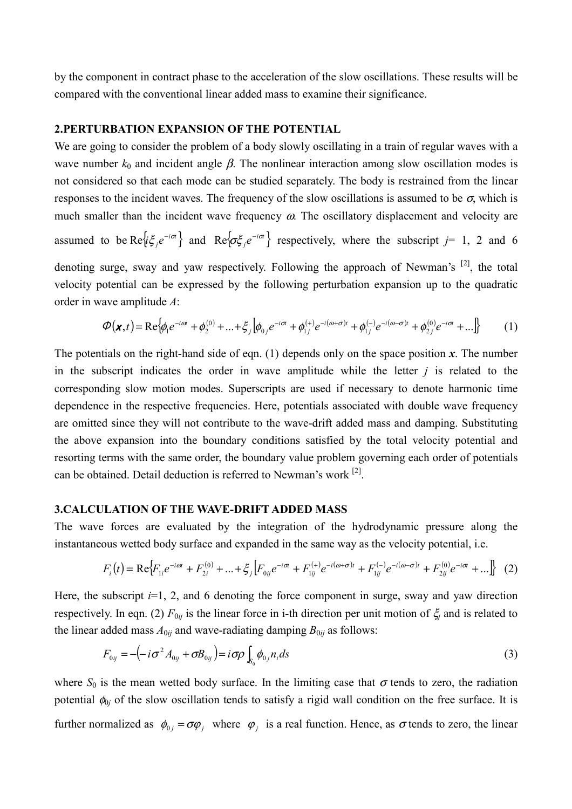by the component in contract phase to the acceleration of the slow oscillations. These results will be compared with the conventional linear added mass to examine their significance.

### **2.PERTURBATION EXPANSION OF THE POTENTIAL**

We are going to consider the problem of a body slowly oscillating in a train of regular waves with a wave number  $k_0$  and incident angle  $\beta$ . The nonlinear interaction among slow oscillation modes is not considered so that each mode can be studied separately. The body is restrained from the linear responses to the incident waves. The frequency of the slow oscillations is assumed to be  $\sigma$ , which is much smaller than the incident wave frequency  $\omega$ . The oscillatory displacement and velocity are assumed to be  $\text{Re}\{\mathrm{i}\xi_j e^{-i\sigma}\}\$  and  $\text{Re}\{\sigma\xi_j e^{-i\sigma}\}\$  respectively, where the subscript  $j=1, 2$  and 6 denoting surge, sway and yaw respectively. Following the approach of Newman's <sup>[2]</sup>, the total velocity potential can be expressed by the following perturbation expansion up to the quadratic order in wave amplitude *A*:

$$
\boldsymbol{\varphi}(\mathbf{x},t) = \text{Re}\{\phi_1 e^{-i\omega t} + \phi_2^{(0)} + ... + \xi_j \left[\phi_{0j} e^{-i\omega t} + \phi_{1j}^{(+)} e^{-i(\omega + \sigma)t} + \phi_{1j}^{(-)} e^{-i(\omega - \sigma)t} + \phi_{2j}^{(0)} e^{-i\omega t} + ... \right]\} \tag{1}
$$

The potentials on the right-hand side of eqn.  $(1)$  depends only on the space position x. The number in the subscript indicates the order in wave amplitude while the letter *j* is related to the corresponding slow motion modes. Superscripts are used if necessary to denote harmonic time dependence in the respective frequencies. Here, potentials associated with double wave frequency are omitted since they will not contribute to the wave-drift added mass and damping. Substituting the above expansion into the boundary conditions satisfied by the total velocity potential and resorting terms with the same order, the boundary value problem governing each order of potentials can be obtained. Detail deduction is referred to Newman's work  $[2]$ .

# **3.CALCULATION OF THE WAVE-DRIFT ADDED MASS**

The wave forces are evaluated by the integration of the hydrodynamic pressure along the instantaneous wetted body surface and expanded in the same way as the velocity potential, i.e.

$$
F_i(t) = \text{Re}\Big\{F_{1i}e^{-i\omega t} + F_{2i}^{(0)} + \dots + \xi_j\Big[F_{0ij}e^{-i\sigma t} + F_{1ij}^{(+)}e^{-i(\omega+\sigma)t} + F_{1ij}^{(-)}e^{-i(\omega-\sigma)t} + F_{2ij}^{(0)}e^{-i\sigma t} + \dots\Big\} \tag{2}
$$

Here, the subscript  $i=1, 2$ , and 6 denoting the force component in surge, sway and yaw direction respectively. In eqn. (2) *F*0*ij* is the linear force in i-th direction per unit motion of ξ*j* and is related to the linear added mass  $A_{0ij}$  and wave-radiating damping  $B_{0ij}$  as follows:

$$
F_{0ij} = -\left(-i\sigma^2 A_{0ij} + \sigma B_{0ij}\right) = i\sigma\rho \int_{S_0} \phi_{0j} n_i ds
$$
\n(3)

where  $S_0$  is the mean wetted body surface. In the limiting case that  $\sigma$  tends to zero, the radiation potential  $\phi_{0j}$  of the slow oscillation tends to satisfy a rigid wall condition on the free surface. It is further normalized as  $\phi_{0i} = \sigma \varphi_i$ , where  $\varphi_i$  is a real function. Hence, as  $\sigma$  tends to zero, the linear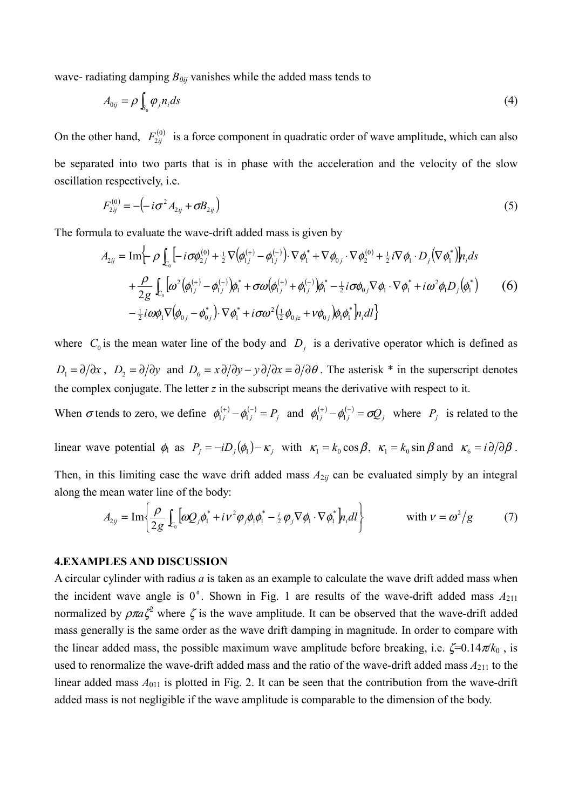wave- radiating damping  $B_{0ij}$  vanishes while the added mass tends to

$$
A_{0ij} = \rho \int_{S_0} \varphi_j n_i ds \tag{4}
$$

On the other hand,  $F_{2ii}^{(0)}$  is a force component in quadratic order of wave amplitude, which can also be separated into two parts that is in phase with the acceleration and the velocity of the slow oscillation respectively, i.e.

$$
F_{2ij}^{(0)} = -(-i\sigma^2 A_{2ij} + \sigma B_{2ij})
$$
\n(5)

The formula to evaluate the wave-drift added mass is given by

$$
A_{2ij} = \text{Im}\left\{-\rho \int_{C_0} \left[-i\sigma\phi_{2j}^{(0)} + \frac{1}{2}\nabla\left(\phi_{1j}^{(+)} - \phi_{1j}^{(-)}\right) \cdot \nabla\phi_1^* + \nabla\phi_{0j} \cdot \nabla\phi_2^{(0)} + \frac{1}{2}i\nabla\phi_1 \cdot D_j(\nabla\phi_1^*)\right] n_i ds + \frac{\rho}{2g} \int_{C_0} \left[\omega^2 \left(\phi_{1j}^{(+)} - \phi_{1j}^{(-)}\right) \phi_1^* + \sigma\omega \left(\phi_{1j}^{(+)} + \phi_{1j}^{(-)}\right) \phi_1^* - \frac{1}{2}i\sigma\phi_{0j}\nabla\phi_1 \cdot \nabla\phi_1^* + i\omega^2\phi_1 D_j(\phi_1^*)\right] - \frac{1}{2}i\omega\phi_1 \nabla \left(\phi_{0j} - \phi_{0j}^*\right) \cdot \nabla\phi_1^* + i\sigma\omega^2 \left(\frac{1}{2}\phi_{0jz} + \nu\phi_{0j}\right) \phi_1 \phi_1^* \right] n_i dl
$$
 (6)

where  $C_0$  is the mean water line of the body and  $D_i$  is a derivative operator which is defined as  $D_1 = \partial/\partial x$ ,  $D_2 = \partial/\partial y$  and  $D_6 = x\partial/\partial y - y\partial/\partial x = \partial/\partial \theta$ . The asterisk \* in the superscript denotes the complex conjugate. The letter *z* in the subscript means the derivative with respect to it.

When  $\sigma$  tends to zero, we define  $\phi_{1j}^{(+)} - \phi_{1j}^{(-)} = P_j$  and  $\phi_{1j}^{(+)} - \phi_{1j}^{(-)} = \sigma Q_j$  where  $P_j$  is related to the

linear wave potential  $\phi_1$  as  $P_j = -iD_j(\phi_1) - \kappa_j$  with  $\kappa_1 = k_0 \cos \beta$ ,  $\kappa_1 = k_0 \sin \beta$  and  $\kappa_6 = i \partial/\partial \beta$ .

Then, in this limiting case the wave drift added mass  $A_{2ij}$  can be evaluated simply by an integral along the mean water line of the body:

$$
A_{2ij} = \text{Im}\left\{\frac{\rho}{2g} \int_{c_0} \left[\omega Q_j \phi_1^* + i \nu^2 \varphi_j \phi_1 \phi_1^* - \frac{i}{2} \varphi_j \nabla \phi_1 \cdot \nabla \phi_1^* \right] n_i dl \right\} \qquad \text{with } \nu = \omega^2/g \qquad (7)
$$

## **4.EXAMPLES AND DISCUSSION**

A circular cylinder with radius *a* is taken as an example to calculate the wave drift added mass when the incident wave angle is  $0^{\circ}$ . Shown in Fig. 1 are results of the wave-drift added mass  $A_{211}$ normalized by  $\rho \pi a \zeta^2$  where  $\zeta$  is the wave amplitude. It can be observed that the wave-drift added mass generally is the same order as the wave drift damping in magnitude. In order to compare with the linear added mass, the possible maximum wave amplitude before breaking, i.e.  $\zeta = 0.14 \pi k_0$ , is used to renormalize the wave-drift added mass and the ratio of the wave-drift added mass  $A_{211}$  to the linear added mass  $A_{011}$  is plotted in Fig. 2. It can be seen that the contribution from the wave-drift added mass is not negligible if the wave amplitude is comparable to the dimension of the body.